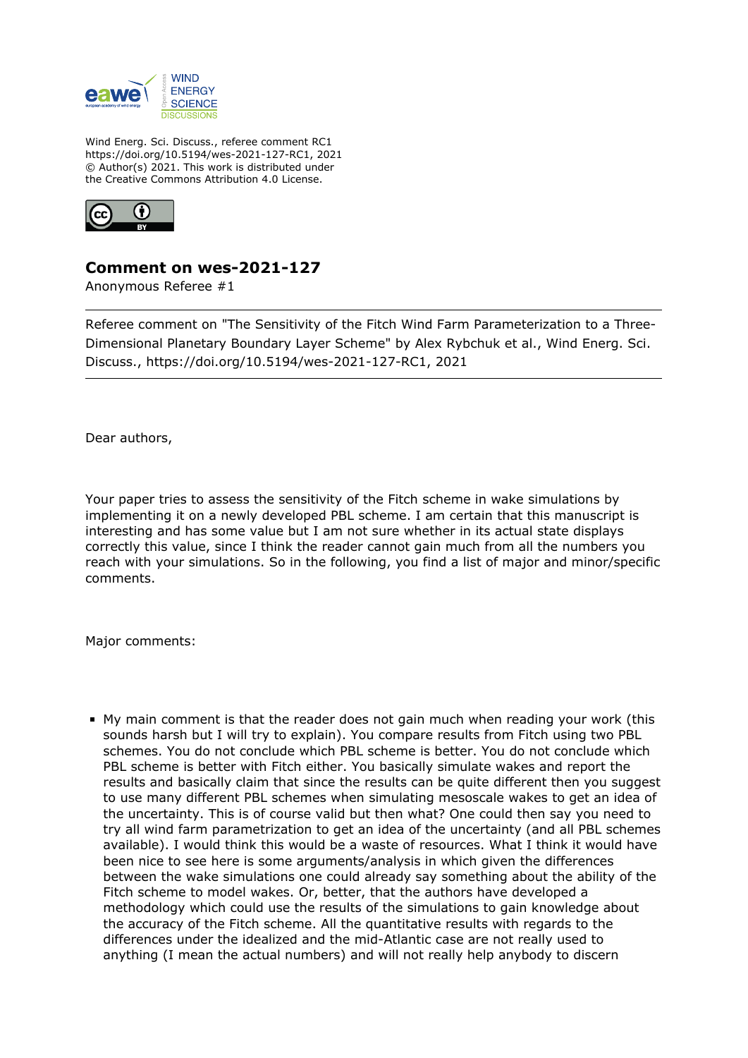

Wind Energ. Sci. Discuss., referee comment RC1 https://doi.org/10.5194/wes-2021-127-RC1, 2021 © Author(s) 2021. This work is distributed under the Creative Commons Attribution 4.0 License.



## **Comment on wes-2021-127**

Anonymous Referee #1

Referee comment on "The Sensitivity of the Fitch Wind Farm Parameterization to a Three-Dimensional Planetary Boundary Layer Scheme" by Alex Rybchuk et al., Wind Energ. Sci. Discuss., https://doi.org/10.5194/wes-2021-127-RC1, 2021

Dear authors,

Your paper tries to assess the sensitivity of the Fitch scheme in wake simulations by implementing it on a newly developed PBL scheme. I am certain that this manuscript is interesting and has some value but I am not sure whether in its actual state displays correctly this value, since I think the reader cannot gain much from all the numbers you reach with your simulations. So in the following, you find a list of major and minor/specific comments.

Major comments:

My main comment is that the reader does not gain much when reading your work (this sounds harsh but I will try to explain). You compare results from Fitch using two PBL schemes. You do not conclude which PBL scheme is better. You do not conclude which PBL scheme is better with Fitch either. You basically simulate wakes and report the results and basically claim that since the results can be quite different then you suggest to use many different PBL schemes when simulating mesoscale wakes to get an idea of the uncertainty. This is of course valid but then what? One could then say you need to try all wind farm parametrization to get an idea of the uncertainty (and all PBL schemes available). I would think this would be a waste of resources. What I think it would have been nice to see here is some arguments/analysis in which given the differences between the wake simulations one could already say something about the ability of the Fitch scheme to model wakes. Or, better, that the authors have developed a methodology which could use the results of the simulations to gain knowledge about the accuracy of the Fitch scheme. All the quantitative results with regards to the differences under the idealized and the mid-Atlantic case are not really used to anything (I mean the actual numbers) and will not really help anybody to discern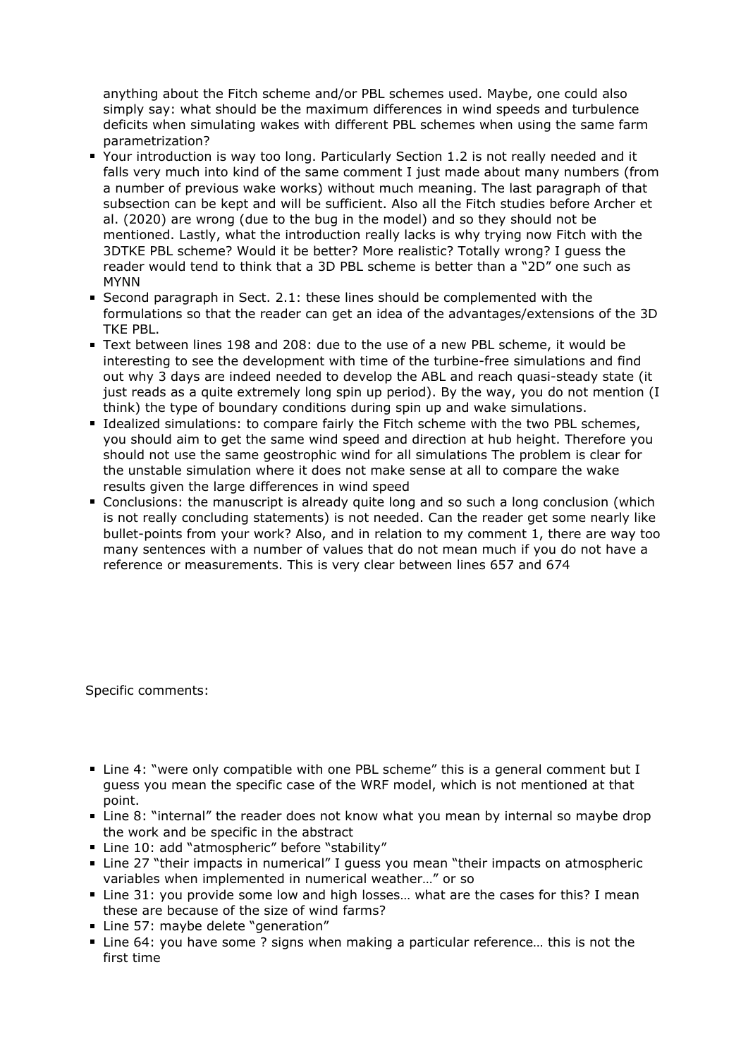anything about the Fitch scheme and/or PBL schemes used. Maybe, one could also simply say: what should be the maximum differences in wind speeds and turbulence deficits when simulating wakes with different PBL schemes when using the same farm parametrization?

- Your introduction is way too long. Particularly Section 1.2 is not really needed and it falls very much into kind of the same comment I just made about many numbers (from a number of previous wake works) without much meaning. The last paragraph of that subsection can be kept and will be sufficient. Also all the Fitch studies before Archer et al. (2020) are wrong (due to the bug in the model) and so they should not be mentioned. Lastly, what the introduction really lacks is why trying now Fitch with the 3DTKE PBL scheme? Would it be better? More realistic? Totally wrong? I guess the reader would tend to think that a 3D PBL scheme is better than a "2D" one such as MYNN
- Second paragraph in Sect. 2.1: these lines should be complemented with the formulations so that the reader can get an idea of the advantages/extensions of the 3D TKE PBL.
- Text between lines 198 and 208: due to the use of a new PBL scheme, it would be interesting to see the development with time of the turbine-free simulations and find out why 3 days are indeed needed to develop the ABL and reach quasi-steady state (it just reads as a quite extremely long spin up period). By the way, you do not mention (I think) the type of boundary conditions during spin up and wake simulations.
- Idealized simulations: to compare fairly the Fitch scheme with the two PBL schemes, you should aim to get the same wind speed and direction at hub height. Therefore you should not use the same geostrophic wind for all simulations The problem is clear for the unstable simulation where it does not make sense at all to compare the wake results given the large differences in wind speed
- Conclusions: the manuscript is already quite long and so such a long conclusion (which is not really concluding statements) is not needed. Can the reader get some nearly like bullet-points from your work? Also, and in relation to my comment 1, there are way too many sentences with a number of values that do not mean much if you do not have a reference or measurements. This is very clear between lines 657 and 674

Specific comments:

- Line 4: "were only compatible with one PBL scheme" this is a general comment but I guess you mean the specific case of the WRF model, which is not mentioned at that point.
- Line 8: "internal" the reader does not know what you mean by internal so maybe drop the work and be specific in the abstract
- Line 10: add "atmospheric" before "stability"
- Line 27 "their impacts in numerical" I guess you mean "their impacts on atmospheric variables when implemented in numerical weather…" or so
- Line 31: you provide some low and high losses… what are the cases for this? I mean these are because of the size of wind farms?
- Line 57: maybe delete "generation"
- Line 64: you have some ? signs when making a particular reference… this is not the first time